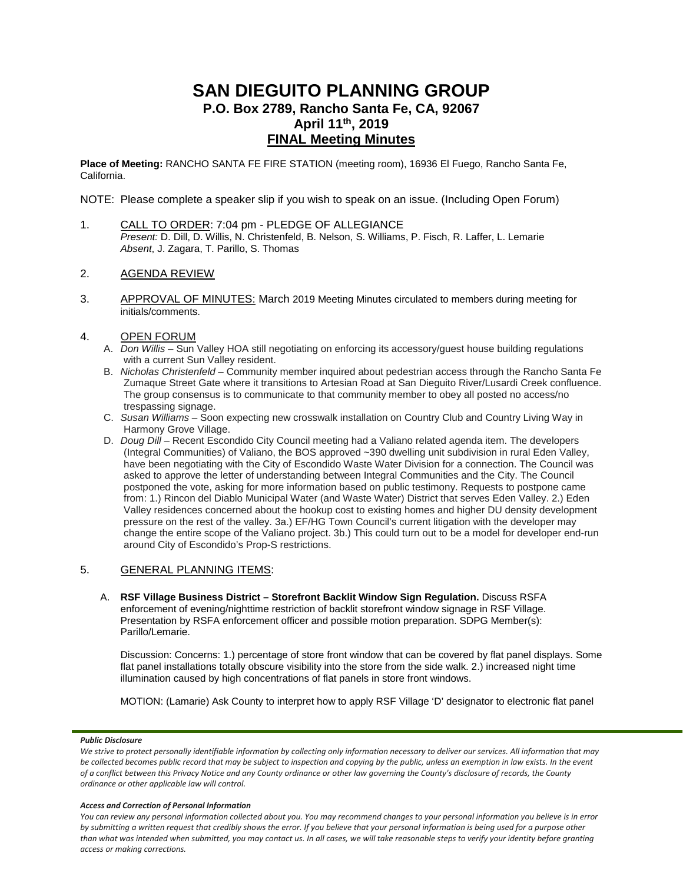# **SAN DIEGUITO PLANNING GROUP P.O. Box 2789, Rancho Santa Fe, CA, 92067 April 11th, 2019 FINAL Meeting Minutes**

**Place of Meeting:** RANCHO SANTA FE FIRE STATION (meeting room), 16936 El Fuego, Rancho Santa Fe, California.

NOTE: Please complete a speaker slip if you wish to speak on an issue. (Including Open Forum)

- 1. CALL TO ORDER: 7:04 pm PLEDGE OF ALLEGIANCE *Present:* D. Dill, D. Willis, N. Christenfeld, B. Nelson, S. Williams, P. Fisch, R. Laffer, L. Lemarie *Absent*, J. Zagara, T. Parillo, S. Thomas
- 2. AGENDA REVIEW
- 3. APPROVAL OF MINUTES: March 2019 Meeting Minutes circulated to members during meeting for initials/comments.
- 4. OPEN FORUM
	- A. *Don Willis* Sun Valley HOA still negotiating on enforcing its accessory/guest house building regulations with a current Sun Valley resident.
	- B. *Nicholas Christenfeld*  Community member inquired about pedestrian access through the Rancho Santa Fe Zumaque Street Gate where it transitions to Artesian Road at San Dieguito River/Lusardi Creek confluence. The group consensus is to communicate to that community member to obey all posted no access/no trespassing signage.
	- C. *Susan Williams*  Soon expecting new crosswalk installation on Country Club and Country Living Way in Harmony Grove Village.
	- D. *Doug Dill* Recent Escondido City Council meeting had a Valiano related agenda item. The developers (Integral Communities) of Valiano, the BOS approved ~390 dwelling unit subdivision in rural Eden Valley, have been negotiating with the City of Escondido Waste Water Division for a connection. The Council was asked to approve the letter of understanding between Integral Communities and the City. The Council postponed the vote, asking for more information based on public testimony. Requests to postpone came from: 1.) Rincon del Diablo Municipal Water (and Waste Water) District that serves Eden Valley. 2.) Eden Valley residences concerned about the hookup cost to existing homes and higher DU density development pressure on the rest of the valley. 3a.) EF/HG Town Council's current litigation with the developer may change the entire scope of the Valiano project. 3b.) This could turn out to be a model for developer end-run around City of Escondido's Prop-S restrictions.

# 5. GENERAL PLANNING ITEMS:

A. **RSF Village Business District – Storefront Backlit Window Sign Regulation.** Discuss RSFA enforcement of evening/nighttime restriction of backlit storefront window signage in RSF Village. Presentation by RSFA enforcement officer and possible motion preparation. SDPG Member(s): Parillo/Lemarie.

Discussion: Concerns: 1.) percentage of store front window that can be covered by flat panel displays. Some flat panel installations totally obscure visibility into the store from the side walk. 2.) increased night time illumination caused by high concentrations of flat panels in store front windows.

MOTION: (Lamarie) Ask County to interpret how to apply RSF Village 'D' designator to electronic flat panel

#### *Public Disclosure*

#### *Access and Correction of Personal Information*

*You can review any personal information collected about you. You may recommend changes to your personal information you believe is in error by submitting a written request that credibly shows the error. If you believe that your personal information is being used for a purpose other than what was intended when submitted, you may contact us. In all cases, we will take reasonable steps to verify your identity before granting access or making corrections.*

We strive to protect personally identifiable information by collecting only information necessary to deliver our services. All information that may *be collected becomes public record that may be subject to inspection and copying by the public, unless an exemption in law exists. In the event of a conflict between this Privacy Notice and any County ordinance or other law governing the County's disclosure of records, the County ordinance or other applicable law will control.*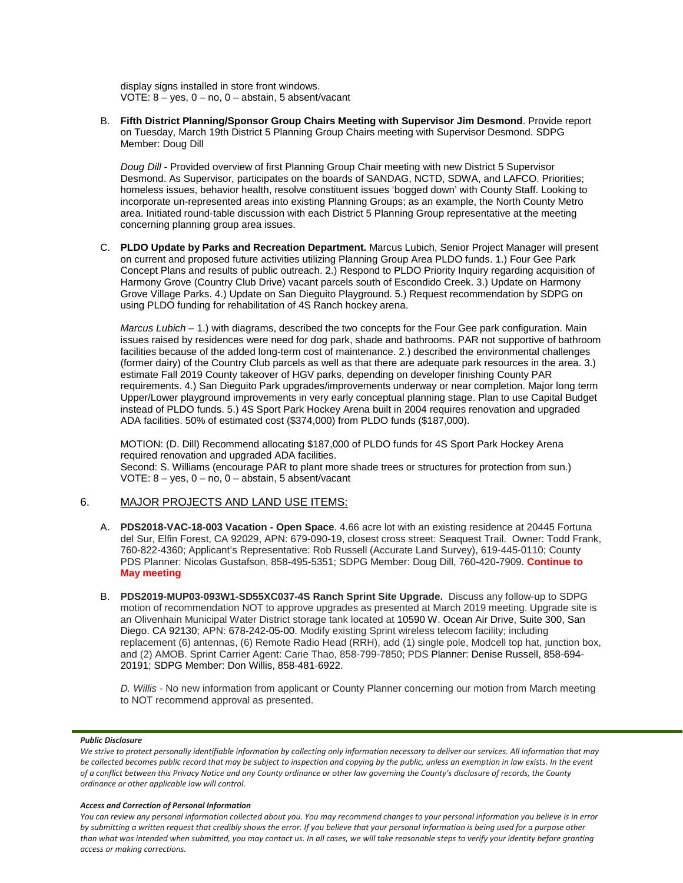display signs installed in store front windows. VOTE: 8 – yes, 0 – no, 0 – abstain, 5 absent/vacant

B. **Fifth District Planning/Sponsor Group Chairs Meeting with Supervisor Jim Desmond**. Provide report on Tuesday, March 19th District 5 Planning Group Chairs meeting with Supervisor Desmond. SDPG Member: Doug Dill

*Doug Dill* - Provided overview of first Planning Group Chair meeting with new District 5 Supervisor Desmond. As Supervisor, participates on the boards of SANDAG, NCTD, SDWA, and LAFCO. Priorities; homeless issues, behavior health, resolve constituent issues 'bogged down' with County Staff. Looking to incorporate un-represented areas into existing Planning Groups; as an example, the North County Metro area. Initiated round-table discussion with each District 5 Planning Group representative at the meeting concerning planning group area issues.

C. **PLDO Update by Parks and Recreation Department.** Marcus Lubich, Senior Project Manager will present on current and proposed future activities utilizing Planning Group Area PLDO funds. 1.) Four Gee Park Concept Plans and results of public outreach. 2.) Respond to PLDO Priority Inquiry regarding acquisition of Harmony Grove (Country Club Drive) vacant parcels south of Escondido Creek. 3.) Update on Harmony Grove Village Parks. 4.) Update on San Dieguito Playground. 5.) Request recommendation by SDPG on using PLDO funding for rehabilitation of 4S Ranch hockey arena.

*Marcus Lubich* – 1.) with diagrams, described the two concepts for the Four Gee park configuration. Main issues raised by residences were need for dog park, shade and bathrooms. PAR not supportive of bathroom facilities because of the added long-term cost of maintenance. 2.) described the environmental challenges (former dairy) of the Country Club parcels as well as that there are adequate park resources in the area. 3.) estimate Fall 2019 County takeover of HGV parks, depending on developer finishing County PAR requirements. 4.) San Dieguito Park upgrades/improvements underway or near completion. Major long term Upper/Lower playground improvements in very early conceptual planning stage. Plan to use Capital Budget instead of PLDO funds. 5.) 4S Sport Park Hockey Arena built in 2004 requires renovation and upgraded ADA facilities. 50% of estimated cost (\$374,000) from PLDO funds (\$187,000).

MOTION: (D. Dill) Recommend allocating \$187,000 of PLDO funds for 4S Sport Park Hockey Arena required renovation and upgraded ADA facilities. Second: S. Williams (encourage PAR to plant more shade trees or structures for protection from sun.) VOTE: 8 – yes, 0 – no, 0 – abstain, 5 absent/vacant

### 6. MAJOR PROJECTS AND LAND USE ITEMS:

- A. **PDS2018-VAC-18-003 Vacation - Open Space**. 4.66 acre lot with an existing residence at 20445 Fortuna del Sur, Elfin Forest, CA 92029, APN: 679-090-19, closest cross street: Seaquest Trail. Owner: Todd Frank, 760-822-4360; Applicant's Representative: Rob Russell (Accurate Land Survey), 619-445-0110; County PDS Planner: Nicolas Gustafson, 858-495-5351; SDPG Member: Doug Dill, 760-420-7909. **Continue to May meeting**
- B. **PDS2019-MUP03-093W1-SD55XC037-4S Ranch Sprint Site Upgrade.** Discuss any follow-up to SDPG motion of recommendation NOT to approve upgrades as presented at March 2019 meeting. Upgrade site is an Olivenhain Municipal Water District storage tank located at 10590 W. Ocean Air Drive, Suite 300, San Diego. CA 92130; APN: 678-242-05-00. Modify existing Sprint wireless telecom facility; including replacement (6) antennas, (6) Remote Radio Head (RRH), add (1) single pole, Modcell top hat, junction box, and (2) AMOB. Sprint Carrier Agent: Carie Thao, 858-799-7850; PDS Planner: Denise Russell, 858-694- 20191; SDPG Member: Don Willis, 858-481-6922.

*D. Willis* - No new information from applicant or County Planner concerning our motion from March meeting to NOT recommend approval as presented.

#### *Public Disclosure*

#### *Access and Correction of Personal Information*

*You can review any personal information collected about you. You may recommend changes to your personal information you believe is in error by submitting a written request that credibly shows the error. If you believe that your personal information is being used for a purpose other than what was intended when submitted, you may contact us. In all cases, we will take reasonable steps to verify your identity before granting access or making corrections.*

We strive to protect personally identifiable information by collecting only information necessary to deliver our services. All information that may *be collected becomes public record that may be subject to inspection and copying by the public, unless an exemption in law exists. In the event of a conflict between this Privacy Notice and any County ordinance or other law governing the County's disclosure of records, the County ordinance or other applicable law will control.*